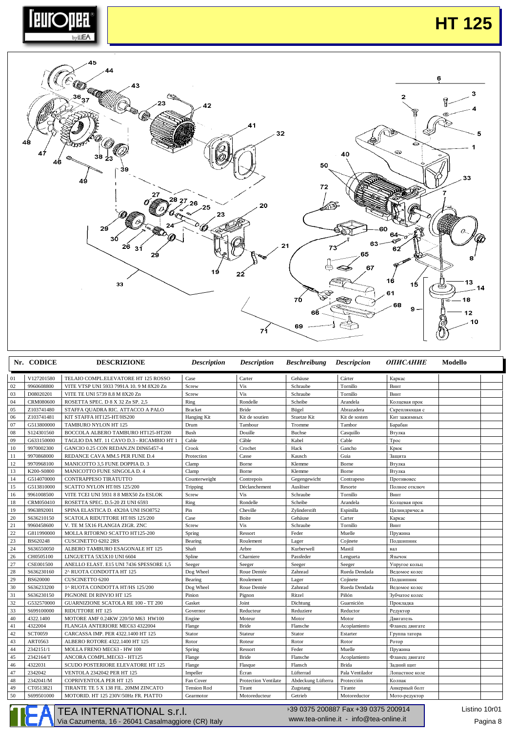

## **HT 125**



| V127201580<br>TELAIO COMPL.ELEVATORE HT 125 ROSSO<br>Gehäuse<br>Cárter<br>01<br>Case<br>Carter<br>Каркас<br>Vis<br>02<br>9960608800<br>Screw<br>Tornillo<br>VITE VTSP UNI 5933 7991A 10. 9 M 8X20 Zn<br>Schraube<br>Винт<br>Vis<br>03<br>D08020201<br>Screw<br>Tornillo<br>VITE TE UNI 5739 8.8 M 8X20 Zn<br>Schraube<br>Винт<br>04<br><b>CRM080600</b><br>Ring<br>ROSETTA SPEC. D 8 X 32 Zn SP. 2,5<br>Rondelle<br>Scheibe<br>Arandela<br>Колцевая прок<br>05<br>Z103741480<br><b>Bracket</b><br><b>Bride</b><br>Abrazadera<br>STAFFA QUADRA RIC. ATTACCO A PALO<br>Bügel<br>Скрепляющая с<br>06<br>Z103741481<br>Hanging Kit<br>Kit de soutien<br>Stuetze Kit<br>Kit de sosten<br>KIT STAFFA HT125-HT/HS200<br>Кит зажимных<br>07<br>G513800000<br>Tambor<br>TAMBURO NYLON HT 125<br>Drum<br>Tambour<br>Tromme<br>Барабан<br>08<br>S124301560<br>BOCCOLA ALBERO TAMBURO HT125-HT200<br>Bush<br>Douille<br><b>Buchse</b><br>Casquillo<br>Втулка<br>09<br>G633150000<br>TAGLIO DA MT. 11 CAVO D.3 - RICAMBIO HT 1<br>Cable<br>Câble<br>Kabel<br>Cable<br>Tpoc<br>10<br>9970002300<br>Hack<br>Gancho<br>GANCIO 0.25 CON REDAN.ZN DIN65457-4<br>Crook<br>Crochet<br>Крюк<br>$11\,$<br>9970868000<br>REDANCE CAVA MM.5 PER FUNE D.4<br>Casse<br>Kausch<br>Guia<br>Protection<br>Защита<br>12<br>9970968100<br>MANICOTTO 3,5 FUNE DOPPIA D. 3<br>Clamp<br>Borne<br>Klemme<br>Borne<br>Втулка<br>13<br>K200-S0800<br>MANICOTTO FUNE SINGOLA D. 4<br>Clamp<br>Borne<br>Klemme<br>Borne<br>Втулка<br>14<br>G514070000<br>CONTRAPPESO TIRATUTTO<br>Counterweight<br>Contrepois<br>Gegengewicht<br>Contrapeso<br>Противовес<br>15<br>G513810000<br>SCATTO NYLON HT/HS 125/200<br>Déclanchement<br>Auslöser<br>Resorte<br>Полное отключ<br>Tripping<br>Vis<br>9961008500<br>VITE TCEI UNI 5931 8 8 M8X50 Zn ESLOK<br>Screw<br>Tornillo<br>16<br>Schraube<br>Винт<br>18<br>CRM050410<br>ROSETTA SPEC. D.5-20 ZI UNI 6593<br>Ring<br>Rondelle<br>Scheibe<br>Arandela<br>Колцевая прок<br>19<br>9963892001<br>Pin<br>SPINA ELASTICA D. 4X20A UNI ISO8752<br>Cheville<br>Zylinderstift<br>Espinilla<br>Цилиндричес.в<br>20<br>Case<br>S636210150<br>SCATOLA RIDUTTORE HT/HS 125/200<br>Boite<br>Gehäuse<br>Carter<br>Каркас<br>21<br>Vis<br>9960458600<br>V. TE M 5X16 FLANGIA ZIGR. ZNC<br>Screw<br>Schraube<br>Tornillo<br>Винт<br>22<br>Muelle<br>G811990000<br>MOLLA RITORNO SCATTO HT125-200<br>Spring<br>Ressort<br>Feder<br>Пружина<br>23<br>BS620248<br>CUSCINETTO 6202 2RS<br>Cojinete<br>Bearing<br>Roulement<br>Lager<br>Подшипник<br>24<br>S636550050<br>ALBERO TAMBURO ESAGONALE HT 125<br>Shaft<br>Kurberwell<br>Mastil<br>Arbre<br>вал<br>26<br>CH0505100<br>LINGUETTA 5X5X10 UNI 6604<br>Spline<br>Passfeder<br>Charniere<br>Lengueta<br>Язычок<br>27<br>CSE001500<br>ANELLO ELAST. E15 UNI 7436 SPESSORE 1,5<br>Seeger<br>Seeger<br>Упругое кольц<br>Seeger<br>Seeger<br>28<br>S636230160<br>2^ RUOTA CONDOTTA HT 125<br>Dog Wheel<br>Roue Dentée<br>Zahnrad<br>Rueda Dendada<br>Ведомое колес<br>29<br>BS620000<br><b>CUSCINETTO 6200</b><br>Roulement<br>Cojinete<br>Bearing<br>Lager<br>Полшипник<br>30<br>S636233200<br>1^ RUOTA CONDOTTA HT/HS 125/200<br>Dog Wheel<br>Zahnrad<br>Rueda Dendada<br>Roue Dentée<br>Ведомое колес<br>31<br>S636230150<br>Pinion<br>Ritzel<br>Piñón<br>PIGNONE DI RINVIO HT 125<br>Pignon<br>Зубчатое колес<br>32<br>G532570000<br>Gasket<br>Guarniciòn<br>GUARNIZIONE SCATOLA RE 100 - TT 200<br>Joint<br>Dichtung<br>Прокладка<br>33<br>S699100000<br><b>RIDUTTORE HT 125</b><br>Reductor<br>Governor<br>Reducteur<br>Reduziere<br>Редуктор<br>40<br>MOTORE AMF 0.24KW 220/50 M63 HW100<br>4322.1400<br>Engine<br>Moteur<br>Motor<br>Motor<br>Двигатель<br>41<br>4322004<br>FLANGIA ANTERIORE MEC63 4322004<br><b>Bride</b><br>Flange<br>Flansche<br>Acoplamiento<br>Фланец двигате<br>42<br><b>SCT0059</b><br>CARCASSA IMP. PER 4322.1400 HT 125<br>Stator<br>Stateur<br>Stator<br>Estarter<br>Группа татора<br>43<br>ART0563<br>Rotor<br>ALBERO ROTORE 4322.1400 HT 125<br>Rotor<br>Roteur<br>Rotor<br>Ротор<br>44<br>2342151/1<br>MOLLA FRENO MEC63 - HW 100<br>Ressort<br>Feder<br>Muelle<br>Spring<br>Пружина<br>45<br>2342164/T<br><b>Bride</b><br>ANCORA COMPL.MEC63 - HT125<br>Flange<br>Flansche<br>Acoplamiento<br>Фланец двигате<br>4322031<br>46<br><b>Brida</b><br><b>SCUDO POSTERIORE ELEVATORE HT 125</b><br>Flange<br>Flasque<br>Flansch<br>Задний щит<br>47<br>Écran<br>2342042<br>Lüfterrad<br>Pala Ventilador<br><b>VENTOLA 2342042 PER HT 125</b><br>Impeller<br>Лопастное коле<br>48<br>2342041/M<br><b>COPRIVENTOLA PER HT 125</b><br>Fan Cover<br><b>Protection Ventilate</b><br>Abdeckung Lüfterra<br>Protección<br>Колпак<br>49<br>CT0513821<br>TIRANTE TE 5 X 138 FIL. 20MM ZINCATO<br><b>Tension Rod</b><br>Tirant<br>Zugstang<br>Tirante<br>Анкерный болт<br>50<br>S699501000<br>Getrieb<br>MOTORID. HT 125 230V/50Hz FR. PIATTO<br>Motoreducteur<br>Motoreductor<br>Мото-редуктор<br>Gearmotor | Nr. CODICE | <b>DESCRIZIONE</b> | <b>Description</b> | <b>Description</b> | <b>Beschreibung Descripcion</b> | <b>ОПИСАНИЕ</b> | Modello |
|--------------------------------------------------------------------------------------------------------------------------------------------------------------------------------------------------------------------------------------------------------------------------------------------------------------------------------------------------------------------------------------------------------------------------------------------------------------------------------------------------------------------------------------------------------------------------------------------------------------------------------------------------------------------------------------------------------------------------------------------------------------------------------------------------------------------------------------------------------------------------------------------------------------------------------------------------------------------------------------------------------------------------------------------------------------------------------------------------------------------------------------------------------------------------------------------------------------------------------------------------------------------------------------------------------------------------------------------------------------------------------------------------------------------------------------------------------------------------------------------------------------------------------------------------------------------------------------------------------------------------------------------------------------------------------------------------------------------------------------------------------------------------------------------------------------------------------------------------------------------------------------------------------------------------------------------------------------------------------------------------------------------------------------------------------------------------------------------------------------------------------------------------------------------------------------------------------------------------------------------------------------------------------------------------------------------------------------------------------------------------------------------------------------------------------------------------------------------------------------------------------------------------------------------------------------------------------------------------------------------------------------------------------------------------------------------------------------------------------------------------------------------------------------------------------------------------------------------------------------------------------------------------------------------------------------------------------------------------------------------------------------------------------------------------------------------------------------------------------------------------------------------------------------------------------------------------------------------------------------------------------------------------------------------------------------------------------------------------------------------------------------------------------------------------------------------------------------------------------------------------------------------------------------------------------------------------------------------------------------------------------------------------------------------------------------------------------------------------------------------------------------------------------------------------------------------------------------------------------------------------------------------------------------------------------------------------------------------------------------------------------------------------------------------------------------------------------------------------------------------------------------------------------------------------------------------------------------------------------------------------------------------------------------------------------------------------------------------------------------------------------------------------------------------------------------------------------------------------------------------------------------------------------------------------------------------------------------------------------------------------------------------------------------------------------------------------------------------------------------------------------------------------------------------------------------------------------------------------------------------------------------------------------------------------------------------------------------------|------------|--------------------|--------------------|--------------------|---------------------------------|-----------------|---------|
|                                                                                                                                                                                                                                                                                                                                                                                                                                                                                                                                                                                                                                                                                                                                                                                                                                                                                                                                                                                                                                                                                                                                                                                                                                                                                                                                                                                                                                                                                                                                                                                                                                                                                                                                                                                                                                                                                                                                                                                                                                                                                                                                                                                                                                                                                                                                                                                                                                                                                                                                                                                                                                                                                                                                                                                                                                                                                                                                                                                                                                                                                                                                                                                                                                                                                                                                                                                                                                                                                                                                                                                                                                                                                                                                                                                                                                                                                                                                                                                                                                                                                                                                                                                                                                                                                                                                                                                                                                                                                                                                                                                                                                                                                                                                                                                                                                                                                                                                                                    |            |                    |                    |                    |                                 |                 |         |
|                                                                                                                                                                                                                                                                                                                                                                                                                                                                                                                                                                                                                                                                                                                                                                                                                                                                                                                                                                                                                                                                                                                                                                                                                                                                                                                                                                                                                                                                                                                                                                                                                                                                                                                                                                                                                                                                                                                                                                                                                                                                                                                                                                                                                                                                                                                                                                                                                                                                                                                                                                                                                                                                                                                                                                                                                                                                                                                                                                                                                                                                                                                                                                                                                                                                                                                                                                                                                                                                                                                                                                                                                                                                                                                                                                                                                                                                                                                                                                                                                                                                                                                                                                                                                                                                                                                                                                                                                                                                                                                                                                                                                                                                                                                                                                                                                                                                                                                                                                    |            |                    |                    |                    |                                 |                 |         |
|                                                                                                                                                                                                                                                                                                                                                                                                                                                                                                                                                                                                                                                                                                                                                                                                                                                                                                                                                                                                                                                                                                                                                                                                                                                                                                                                                                                                                                                                                                                                                                                                                                                                                                                                                                                                                                                                                                                                                                                                                                                                                                                                                                                                                                                                                                                                                                                                                                                                                                                                                                                                                                                                                                                                                                                                                                                                                                                                                                                                                                                                                                                                                                                                                                                                                                                                                                                                                                                                                                                                                                                                                                                                                                                                                                                                                                                                                                                                                                                                                                                                                                                                                                                                                                                                                                                                                                                                                                                                                                                                                                                                                                                                                                                                                                                                                                                                                                                                                                    |            |                    |                    |                    |                                 |                 |         |
|                                                                                                                                                                                                                                                                                                                                                                                                                                                                                                                                                                                                                                                                                                                                                                                                                                                                                                                                                                                                                                                                                                                                                                                                                                                                                                                                                                                                                                                                                                                                                                                                                                                                                                                                                                                                                                                                                                                                                                                                                                                                                                                                                                                                                                                                                                                                                                                                                                                                                                                                                                                                                                                                                                                                                                                                                                                                                                                                                                                                                                                                                                                                                                                                                                                                                                                                                                                                                                                                                                                                                                                                                                                                                                                                                                                                                                                                                                                                                                                                                                                                                                                                                                                                                                                                                                                                                                                                                                                                                                                                                                                                                                                                                                                                                                                                                                                                                                                                                                    |            |                    |                    |                    |                                 |                 |         |
|                                                                                                                                                                                                                                                                                                                                                                                                                                                                                                                                                                                                                                                                                                                                                                                                                                                                                                                                                                                                                                                                                                                                                                                                                                                                                                                                                                                                                                                                                                                                                                                                                                                                                                                                                                                                                                                                                                                                                                                                                                                                                                                                                                                                                                                                                                                                                                                                                                                                                                                                                                                                                                                                                                                                                                                                                                                                                                                                                                                                                                                                                                                                                                                                                                                                                                                                                                                                                                                                                                                                                                                                                                                                                                                                                                                                                                                                                                                                                                                                                                                                                                                                                                                                                                                                                                                                                                                                                                                                                                                                                                                                                                                                                                                                                                                                                                                                                                                                                                    |            |                    |                    |                    |                                 |                 |         |
|                                                                                                                                                                                                                                                                                                                                                                                                                                                                                                                                                                                                                                                                                                                                                                                                                                                                                                                                                                                                                                                                                                                                                                                                                                                                                                                                                                                                                                                                                                                                                                                                                                                                                                                                                                                                                                                                                                                                                                                                                                                                                                                                                                                                                                                                                                                                                                                                                                                                                                                                                                                                                                                                                                                                                                                                                                                                                                                                                                                                                                                                                                                                                                                                                                                                                                                                                                                                                                                                                                                                                                                                                                                                                                                                                                                                                                                                                                                                                                                                                                                                                                                                                                                                                                                                                                                                                                                                                                                                                                                                                                                                                                                                                                                                                                                                                                                                                                                                                                    |            |                    |                    |                    |                                 |                 |         |
|                                                                                                                                                                                                                                                                                                                                                                                                                                                                                                                                                                                                                                                                                                                                                                                                                                                                                                                                                                                                                                                                                                                                                                                                                                                                                                                                                                                                                                                                                                                                                                                                                                                                                                                                                                                                                                                                                                                                                                                                                                                                                                                                                                                                                                                                                                                                                                                                                                                                                                                                                                                                                                                                                                                                                                                                                                                                                                                                                                                                                                                                                                                                                                                                                                                                                                                                                                                                                                                                                                                                                                                                                                                                                                                                                                                                                                                                                                                                                                                                                                                                                                                                                                                                                                                                                                                                                                                                                                                                                                                                                                                                                                                                                                                                                                                                                                                                                                                                                                    |            |                    |                    |                    |                                 |                 |         |
|                                                                                                                                                                                                                                                                                                                                                                                                                                                                                                                                                                                                                                                                                                                                                                                                                                                                                                                                                                                                                                                                                                                                                                                                                                                                                                                                                                                                                                                                                                                                                                                                                                                                                                                                                                                                                                                                                                                                                                                                                                                                                                                                                                                                                                                                                                                                                                                                                                                                                                                                                                                                                                                                                                                                                                                                                                                                                                                                                                                                                                                                                                                                                                                                                                                                                                                                                                                                                                                                                                                                                                                                                                                                                                                                                                                                                                                                                                                                                                                                                                                                                                                                                                                                                                                                                                                                                                                                                                                                                                                                                                                                                                                                                                                                                                                                                                                                                                                                                                    |            |                    |                    |                    |                                 |                 |         |
|                                                                                                                                                                                                                                                                                                                                                                                                                                                                                                                                                                                                                                                                                                                                                                                                                                                                                                                                                                                                                                                                                                                                                                                                                                                                                                                                                                                                                                                                                                                                                                                                                                                                                                                                                                                                                                                                                                                                                                                                                                                                                                                                                                                                                                                                                                                                                                                                                                                                                                                                                                                                                                                                                                                                                                                                                                                                                                                                                                                                                                                                                                                                                                                                                                                                                                                                                                                                                                                                                                                                                                                                                                                                                                                                                                                                                                                                                                                                                                                                                                                                                                                                                                                                                                                                                                                                                                                                                                                                                                                                                                                                                                                                                                                                                                                                                                                                                                                                                                    |            |                    |                    |                    |                                 |                 |         |
|                                                                                                                                                                                                                                                                                                                                                                                                                                                                                                                                                                                                                                                                                                                                                                                                                                                                                                                                                                                                                                                                                                                                                                                                                                                                                                                                                                                                                                                                                                                                                                                                                                                                                                                                                                                                                                                                                                                                                                                                                                                                                                                                                                                                                                                                                                                                                                                                                                                                                                                                                                                                                                                                                                                                                                                                                                                                                                                                                                                                                                                                                                                                                                                                                                                                                                                                                                                                                                                                                                                                                                                                                                                                                                                                                                                                                                                                                                                                                                                                                                                                                                                                                                                                                                                                                                                                                                                                                                                                                                                                                                                                                                                                                                                                                                                                                                                                                                                                                                    |            |                    |                    |                    |                                 |                 |         |
|                                                                                                                                                                                                                                                                                                                                                                                                                                                                                                                                                                                                                                                                                                                                                                                                                                                                                                                                                                                                                                                                                                                                                                                                                                                                                                                                                                                                                                                                                                                                                                                                                                                                                                                                                                                                                                                                                                                                                                                                                                                                                                                                                                                                                                                                                                                                                                                                                                                                                                                                                                                                                                                                                                                                                                                                                                                                                                                                                                                                                                                                                                                                                                                                                                                                                                                                                                                                                                                                                                                                                                                                                                                                                                                                                                                                                                                                                                                                                                                                                                                                                                                                                                                                                                                                                                                                                                                                                                                                                                                                                                                                                                                                                                                                                                                                                                                                                                                                                                    |            |                    |                    |                    |                                 |                 |         |
|                                                                                                                                                                                                                                                                                                                                                                                                                                                                                                                                                                                                                                                                                                                                                                                                                                                                                                                                                                                                                                                                                                                                                                                                                                                                                                                                                                                                                                                                                                                                                                                                                                                                                                                                                                                                                                                                                                                                                                                                                                                                                                                                                                                                                                                                                                                                                                                                                                                                                                                                                                                                                                                                                                                                                                                                                                                                                                                                                                                                                                                                                                                                                                                                                                                                                                                                                                                                                                                                                                                                                                                                                                                                                                                                                                                                                                                                                                                                                                                                                                                                                                                                                                                                                                                                                                                                                                                                                                                                                                                                                                                                                                                                                                                                                                                                                                                                                                                                                                    |            |                    |                    |                    |                                 |                 |         |
|                                                                                                                                                                                                                                                                                                                                                                                                                                                                                                                                                                                                                                                                                                                                                                                                                                                                                                                                                                                                                                                                                                                                                                                                                                                                                                                                                                                                                                                                                                                                                                                                                                                                                                                                                                                                                                                                                                                                                                                                                                                                                                                                                                                                                                                                                                                                                                                                                                                                                                                                                                                                                                                                                                                                                                                                                                                                                                                                                                                                                                                                                                                                                                                                                                                                                                                                                                                                                                                                                                                                                                                                                                                                                                                                                                                                                                                                                                                                                                                                                                                                                                                                                                                                                                                                                                                                                                                                                                                                                                                                                                                                                                                                                                                                                                                                                                                                                                                                                                    |            |                    |                    |                    |                                 |                 |         |
|                                                                                                                                                                                                                                                                                                                                                                                                                                                                                                                                                                                                                                                                                                                                                                                                                                                                                                                                                                                                                                                                                                                                                                                                                                                                                                                                                                                                                                                                                                                                                                                                                                                                                                                                                                                                                                                                                                                                                                                                                                                                                                                                                                                                                                                                                                                                                                                                                                                                                                                                                                                                                                                                                                                                                                                                                                                                                                                                                                                                                                                                                                                                                                                                                                                                                                                                                                                                                                                                                                                                                                                                                                                                                                                                                                                                                                                                                                                                                                                                                                                                                                                                                                                                                                                                                                                                                                                                                                                                                                                                                                                                                                                                                                                                                                                                                                                                                                                                                                    |            |                    |                    |                    |                                 |                 |         |
|                                                                                                                                                                                                                                                                                                                                                                                                                                                                                                                                                                                                                                                                                                                                                                                                                                                                                                                                                                                                                                                                                                                                                                                                                                                                                                                                                                                                                                                                                                                                                                                                                                                                                                                                                                                                                                                                                                                                                                                                                                                                                                                                                                                                                                                                                                                                                                                                                                                                                                                                                                                                                                                                                                                                                                                                                                                                                                                                                                                                                                                                                                                                                                                                                                                                                                                                                                                                                                                                                                                                                                                                                                                                                                                                                                                                                                                                                                                                                                                                                                                                                                                                                                                                                                                                                                                                                                                                                                                                                                                                                                                                                                                                                                                                                                                                                                                                                                                                                                    |            |                    |                    |                    |                                 |                 |         |
|                                                                                                                                                                                                                                                                                                                                                                                                                                                                                                                                                                                                                                                                                                                                                                                                                                                                                                                                                                                                                                                                                                                                                                                                                                                                                                                                                                                                                                                                                                                                                                                                                                                                                                                                                                                                                                                                                                                                                                                                                                                                                                                                                                                                                                                                                                                                                                                                                                                                                                                                                                                                                                                                                                                                                                                                                                                                                                                                                                                                                                                                                                                                                                                                                                                                                                                                                                                                                                                                                                                                                                                                                                                                                                                                                                                                                                                                                                                                                                                                                                                                                                                                                                                                                                                                                                                                                                                                                                                                                                                                                                                                                                                                                                                                                                                                                                                                                                                                                                    |            |                    |                    |                    |                                 |                 |         |
|                                                                                                                                                                                                                                                                                                                                                                                                                                                                                                                                                                                                                                                                                                                                                                                                                                                                                                                                                                                                                                                                                                                                                                                                                                                                                                                                                                                                                                                                                                                                                                                                                                                                                                                                                                                                                                                                                                                                                                                                                                                                                                                                                                                                                                                                                                                                                                                                                                                                                                                                                                                                                                                                                                                                                                                                                                                                                                                                                                                                                                                                                                                                                                                                                                                                                                                                                                                                                                                                                                                                                                                                                                                                                                                                                                                                                                                                                                                                                                                                                                                                                                                                                                                                                                                                                                                                                                                                                                                                                                                                                                                                                                                                                                                                                                                                                                                                                                                                                                    |            |                    |                    |                    |                                 |                 |         |
|                                                                                                                                                                                                                                                                                                                                                                                                                                                                                                                                                                                                                                                                                                                                                                                                                                                                                                                                                                                                                                                                                                                                                                                                                                                                                                                                                                                                                                                                                                                                                                                                                                                                                                                                                                                                                                                                                                                                                                                                                                                                                                                                                                                                                                                                                                                                                                                                                                                                                                                                                                                                                                                                                                                                                                                                                                                                                                                                                                                                                                                                                                                                                                                                                                                                                                                                                                                                                                                                                                                                                                                                                                                                                                                                                                                                                                                                                                                                                                                                                                                                                                                                                                                                                                                                                                                                                                                                                                                                                                                                                                                                                                                                                                                                                                                                                                                                                                                                                                    |            |                    |                    |                    |                                 |                 |         |
|                                                                                                                                                                                                                                                                                                                                                                                                                                                                                                                                                                                                                                                                                                                                                                                                                                                                                                                                                                                                                                                                                                                                                                                                                                                                                                                                                                                                                                                                                                                                                                                                                                                                                                                                                                                                                                                                                                                                                                                                                                                                                                                                                                                                                                                                                                                                                                                                                                                                                                                                                                                                                                                                                                                                                                                                                                                                                                                                                                                                                                                                                                                                                                                                                                                                                                                                                                                                                                                                                                                                                                                                                                                                                                                                                                                                                                                                                                                                                                                                                                                                                                                                                                                                                                                                                                                                                                                                                                                                                                                                                                                                                                                                                                                                                                                                                                                                                                                                                                    |            |                    |                    |                    |                                 |                 |         |
|                                                                                                                                                                                                                                                                                                                                                                                                                                                                                                                                                                                                                                                                                                                                                                                                                                                                                                                                                                                                                                                                                                                                                                                                                                                                                                                                                                                                                                                                                                                                                                                                                                                                                                                                                                                                                                                                                                                                                                                                                                                                                                                                                                                                                                                                                                                                                                                                                                                                                                                                                                                                                                                                                                                                                                                                                                                                                                                                                                                                                                                                                                                                                                                                                                                                                                                                                                                                                                                                                                                                                                                                                                                                                                                                                                                                                                                                                                                                                                                                                                                                                                                                                                                                                                                                                                                                                                                                                                                                                                                                                                                                                                                                                                                                                                                                                                                                                                                                                                    |            |                    |                    |                    |                                 |                 |         |
|                                                                                                                                                                                                                                                                                                                                                                                                                                                                                                                                                                                                                                                                                                                                                                                                                                                                                                                                                                                                                                                                                                                                                                                                                                                                                                                                                                                                                                                                                                                                                                                                                                                                                                                                                                                                                                                                                                                                                                                                                                                                                                                                                                                                                                                                                                                                                                                                                                                                                                                                                                                                                                                                                                                                                                                                                                                                                                                                                                                                                                                                                                                                                                                                                                                                                                                                                                                                                                                                                                                                                                                                                                                                                                                                                                                                                                                                                                                                                                                                                                                                                                                                                                                                                                                                                                                                                                                                                                                                                                                                                                                                                                                                                                                                                                                                                                                                                                                                                                    |            |                    |                    |                    |                                 |                 |         |
|                                                                                                                                                                                                                                                                                                                                                                                                                                                                                                                                                                                                                                                                                                                                                                                                                                                                                                                                                                                                                                                                                                                                                                                                                                                                                                                                                                                                                                                                                                                                                                                                                                                                                                                                                                                                                                                                                                                                                                                                                                                                                                                                                                                                                                                                                                                                                                                                                                                                                                                                                                                                                                                                                                                                                                                                                                                                                                                                                                                                                                                                                                                                                                                                                                                                                                                                                                                                                                                                                                                                                                                                                                                                                                                                                                                                                                                                                                                                                                                                                                                                                                                                                                                                                                                                                                                                                                                                                                                                                                                                                                                                                                                                                                                                                                                                                                                                                                                                                                    |            |                    |                    |                    |                                 |                 |         |
|                                                                                                                                                                                                                                                                                                                                                                                                                                                                                                                                                                                                                                                                                                                                                                                                                                                                                                                                                                                                                                                                                                                                                                                                                                                                                                                                                                                                                                                                                                                                                                                                                                                                                                                                                                                                                                                                                                                                                                                                                                                                                                                                                                                                                                                                                                                                                                                                                                                                                                                                                                                                                                                                                                                                                                                                                                                                                                                                                                                                                                                                                                                                                                                                                                                                                                                                                                                                                                                                                                                                                                                                                                                                                                                                                                                                                                                                                                                                                                                                                                                                                                                                                                                                                                                                                                                                                                                                                                                                                                                                                                                                                                                                                                                                                                                                                                                                                                                                                                    |            |                    |                    |                    |                                 |                 |         |
|                                                                                                                                                                                                                                                                                                                                                                                                                                                                                                                                                                                                                                                                                                                                                                                                                                                                                                                                                                                                                                                                                                                                                                                                                                                                                                                                                                                                                                                                                                                                                                                                                                                                                                                                                                                                                                                                                                                                                                                                                                                                                                                                                                                                                                                                                                                                                                                                                                                                                                                                                                                                                                                                                                                                                                                                                                                                                                                                                                                                                                                                                                                                                                                                                                                                                                                                                                                                                                                                                                                                                                                                                                                                                                                                                                                                                                                                                                                                                                                                                                                                                                                                                                                                                                                                                                                                                                                                                                                                                                                                                                                                                                                                                                                                                                                                                                                                                                                                                                    |            |                    |                    |                    |                                 |                 |         |
|                                                                                                                                                                                                                                                                                                                                                                                                                                                                                                                                                                                                                                                                                                                                                                                                                                                                                                                                                                                                                                                                                                                                                                                                                                                                                                                                                                                                                                                                                                                                                                                                                                                                                                                                                                                                                                                                                                                                                                                                                                                                                                                                                                                                                                                                                                                                                                                                                                                                                                                                                                                                                                                                                                                                                                                                                                                                                                                                                                                                                                                                                                                                                                                                                                                                                                                                                                                                                                                                                                                                                                                                                                                                                                                                                                                                                                                                                                                                                                                                                                                                                                                                                                                                                                                                                                                                                                                                                                                                                                                                                                                                                                                                                                                                                                                                                                                                                                                                                                    |            |                    |                    |                    |                                 |                 |         |
|                                                                                                                                                                                                                                                                                                                                                                                                                                                                                                                                                                                                                                                                                                                                                                                                                                                                                                                                                                                                                                                                                                                                                                                                                                                                                                                                                                                                                                                                                                                                                                                                                                                                                                                                                                                                                                                                                                                                                                                                                                                                                                                                                                                                                                                                                                                                                                                                                                                                                                                                                                                                                                                                                                                                                                                                                                                                                                                                                                                                                                                                                                                                                                                                                                                                                                                                                                                                                                                                                                                                                                                                                                                                                                                                                                                                                                                                                                                                                                                                                                                                                                                                                                                                                                                                                                                                                                                                                                                                                                                                                                                                                                                                                                                                                                                                                                                                                                                                                                    |            |                    |                    |                    |                                 |                 |         |
|                                                                                                                                                                                                                                                                                                                                                                                                                                                                                                                                                                                                                                                                                                                                                                                                                                                                                                                                                                                                                                                                                                                                                                                                                                                                                                                                                                                                                                                                                                                                                                                                                                                                                                                                                                                                                                                                                                                                                                                                                                                                                                                                                                                                                                                                                                                                                                                                                                                                                                                                                                                                                                                                                                                                                                                                                                                                                                                                                                                                                                                                                                                                                                                                                                                                                                                                                                                                                                                                                                                                                                                                                                                                                                                                                                                                                                                                                                                                                                                                                                                                                                                                                                                                                                                                                                                                                                                                                                                                                                                                                                                                                                                                                                                                                                                                                                                                                                                                                                    |            |                    |                    |                    |                                 |                 |         |
|                                                                                                                                                                                                                                                                                                                                                                                                                                                                                                                                                                                                                                                                                                                                                                                                                                                                                                                                                                                                                                                                                                                                                                                                                                                                                                                                                                                                                                                                                                                                                                                                                                                                                                                                                                                                                                                                                                                                                                                                                                                                                                                                                                                                                                                                                                                                                                                                                                                                                                                                                                                                                                                                                                                                                                                                                                                                                                                                                                                                                                                                                                                                                                                                                                                                                                                                                                                                                                                                                                                                                                                                                                                                                                                                                                                                                                                                                                                                                                                                                                                                                                                                                                                                                                                                                                                                                                                                                                                                                                                                                                                                                                                                                                                                                                                                                                                                                                                                                                    |            |                    |                    |                    |                                 |                 |         |
|                                                                                                                                                                                                                                                                                                                                                                                                                                                                                                                                                                                                                                                                                                                                                                                                                                                                                                                                                                                                                                                                                                                                                                                                                                                                                                                                                                                                                                                                                                                                                                                                                                                                                                                                                                                                                                                                                                                                                                                                                                                                                                                                                                                                                                                                                                                                                                                                                                                                                                                                                                                                                                                                                                                                                                                                                                                                                                                                                                                                                                                                                                                                                                                                                                                                                                                                                                                                                                                                                                                                                                                                                                                                                                                                                                                                                                                                                                                                                                                                                                                                                                                                                                                                                                                                                                                                                                                                                                                                                                                                                                                                                                                                                                                                                                                                                                                                                                                                                                    |            |                    |                    |                    |                                 |                 |         |
|                                                                                                                                                                                                                                                                                                                                                                                                                                                                                                                                                                                                                                                                                                                                                                                                                                                                                                                                                                                                                                                                                                                                                                                                                                                                                                                                                                                                                                                                                                                                                                                                                                                                                                                                                                                                                                                                                                                                                                                                                                                                                                                                                                                                                                                                                                                                                                                                                                                                                                                                                                                                                                                                                                                                                                                                                                                                                                                                                                                                                                                                                                                                                                                                                                                                                                                                                                                                                                                                                                                                                                                                                                                                                                                                                                                                                                                                                                                                                                                                                                                                                                                                                                                                                                                                                                                                                                                                                                                                                                                                                                                                                                                                                                                                                                                                                                                                                                                                                                    |            |                    |                    |                    |                                 |                 |         |
|                                                                                                                                                                                                                                                                                                                                                                                                                                                                                                                                                                                                                                                                                                                                                                                                                                                                                                                                                                                                                                                                                                                                                                                                                                                                                                                                                                                                                                                                                                                                                                                                                                                                                                                                                                                                                                                                                                                                                                                                                                                                                                                                                                                                                                                                                                                                                                                                                                                                                                                                                                                                                                                                                                                                                                                                                                                                                                                                                                                                                                                                                                                                                                                                                                                                                                                                                                                                                                                                                                                                                                                                                                                                                                                                                                                                                                                                                                                                                                                                                                                                                                                                                                                                                                                                                                                                                                                                                                                                                                                                                                                                                                                                                                                                                                                                                                                                                                                                                                    |            |                    |                    |                    |                                 |                 |         |
|                                                                                                                                                                                                                                                                                                                                                                                                                                                                                                                                                                                                                                                                                                                                                                                                                                                                                                                                                                                                                                                                                                                                                                                                                                                                                                                                                                                                                                                                                                                                                                                                                                                                                                                                                                                                                                                                                                                                                                                                                                                                                                                                                                                                                                                                                                                                                                                                                                                                                                                                                                                                                                                                                                                                                                                                                                                                                                                                                                                                                                                                                                                                                                                                                                                                                                                                                                                                                                                                                                                                                                                                                                                                                                                                                                                                                                                                                                                                                                                                                                                                                                                                                                                                                                                                                                                                                                                                                                                                                                                                                                                                                                                                                                                                                                                                                                                                                                                                                                    |            |                    |                    |                    |                                 |                 |         |
|                                                                                                                                                                                                                                                                                                                                                                                                                                                                                                                                                                                                                                                                                                                                                                                                                                                                                                                                                                                                                                                                                                                                                                                                                                                                                                                                                                                                                                                                                                                                                                                                                                                                                                                                                                                                                                                                                                                                                                                                                                                                                                                                                                                                                                                                                                                                                                                                                                                                                                                                                                                                                                                                                                                                                                                                                                                                                                                                                                                                                                                                                                                                                                                                                                                                                                                                                                                                                                                                                                                                                                                                                                                                                                                                                                                                                                                                                                                                                                                                                                                                                                                                                                                                                                                                                                                                                                                                                                                                                                                                                                                                                                                                                                                                                                                                                                                                                                                                                                    |            |                    |                    |                    |                                 |                 |         |
|                                                                                                                                                                                                                                                                                                                                                                                                                                                                                                                                                                                                                                                                                                                                                                                                                                                                                                                                                                                                                                                                                                                                                                                                                                                                                                                                                                                                                                                                                                                                                                                                                                                                                                                                                                                                                                                                                                                                                                                                                                                                                                                                                                                                                                                                                                                                                                                                                                                                                                                                                                                                                                                                                                                                                                                                                                                                                                                                                                                                                                                                                                                                                                                                                                                                                                                                                                                                                                                                                                                                                                                                                                                                                                                                                                                                                                                                                                                                                                                                                                                                                                                                                                                                                                                                                                                                                                                                                                                                                                                                                                                                                                                                                                                                                                                                                                                                                                                                                                    |            |                    |                    |                    |                                 |                 |         |
|                                                                                                                                                                                                                                                                                                                                                                                                                                                                                                                                                                                                                                                                                                                                                                                                                                                                                                                                                                                                                                                                                                                                                                                                                                                                                                                                                                                                                                                                                                                                                                                                                                                                                                                                                                                                                                                                                                                                                                                                                                                                                                                                                                                                                                                                                                                                                                                                                                                                                                                                                                                                                                                                                                                                                                                                                                                                                                                                                                                                                                                                                                                                                                                                                                                                                                                                                                                                                                                                                                                                                                                                                                                                                                                                                                                                                                                                                                                                                                                                                                                                                                                                                                                                                                                                                                                                                                                                                                                                                                                                                                                                                                                                                                                                                                                                                                                                                                                                                                    |            |                    |                    |                    |                                 |                 |         |
|                                                                                                                                                                                                                                                                                                                                                                                                                                                                                                                                                                                                                                                                                                                                                                                                                                                                                                                                                                                                                                                                                                                                                                                                                                                                                                                                                                                                                                                                                                                                                                                                                                                                                                                                                                                                                                                                                                                                                                                                                                                                                                                                                                                                                                                                                                                                                                                                                                                                                                                                                                                                                                                                                                                                                                                                                                                                                                                                                                                                                                                                                                                                                                                                                                                                                                                                                                                                                                                                                                                                                                                                                                                                                                                                                                                                                                                                                                                                                                                                                                                                                                                                                                                                                                                                                                                                                                                                                                                                                                                                                                                                                                                                                                                                                                                                                                                                                                                                                                    |            |                    |                    |                    |                                 |                 |         |
|                                                                                                                                                                                                                                                                                                                                                                                                                                                                                                                                                                                                                                                                                                                                                                                                                                                                                                                                                                                                                                                                                                                                                                                                                                                                                                                                                                                                                                                                                                                                                                                                                                                                                                                                                                                                                                                                                                                                                                                                                                                                                                                                                                                                                                                                                                                                                                                                                                                                                                                                                                                                                                                                                                                                                                                                                                                                                                                                                                                                                                                                                                                                                                                                                                                                                                                                                                                                                                                                                                                                                                                                                                                                                                                                                                                                                                                                                                                                                                                                                                                                                                                                                                                                                                                                                                                                                                                                                                                                                                                                                                                                                                                                                                                                                                                                                                                                                                                                                                    |            |                    |                    |                    |                                 |                 |         |
|                                                                                                                                                                                                                                                                                                                                                                                                                                                                                                                                                                                                                                                                                                                                                                                                                                                                                                                                                                                                                                                                                                                                                                                                                                                                                                                                                                                                                                                                                                                                                                                                                                                                                                                                                                                                                                                                                                                                                                                                                                                                                                                                                                                                                                                                                                                                                                                                                                                                                                                                                                                                                                                                                                                                                                                                                                                                                                                                                                                                                                                                                                                                                                                                                                                                                                                                                                                                                                                                                                                                                                                                                                                                                                                                                                                                                                                                                                                                                                                                                                                                                                                                                                                                                                                                                                                                                                                                                                                                                                                                                                                                                                                                                                                                                                                                                                                                                                                                                                    |            |                    |                    |                    |                                 |                 |         |
|                                                                                                                                                                                                                                                                                                                                                                                                                                                                                                                                                                                                                                                                                                                                                                                                                                                                                                                                                                                                                                                                                                                                                                                                                                                                                                                                                                                                                                                                                                                                                                                                                                                                                                                                                                                                                                                                                                                                                                                                                                                                                                                                                                                                                                                                                                                                                                                                                                                                                                                                                                                                                                                                                                                                                                                                                                                                                                                                                                                                                                                                                                                                                                                                                                                                                                                                                                                                                                                                                                                                                                                                                                                                                                                                                                                                                                                                                                                                                                                                                                                                                                                                                                                                                                                                                                                                                                                                                                                                                                                                                                                                                                                                                                                                                                                                                                                                                                                                                                    |            |                    |                    |                    |                                 |                 |         |
|                                                                                                                                                                                                                                                                                                                                                                                                                                                                                                                                                                                                                                                                                                                                                                                                                                                                                                                                                                                                                                                                                                                                                                                                                                                                                                                                                                                                                                                                                                                                                                                                                                                                                                                                                                                                                                                                                                                                                                                                                                                                                                                                                                                                                                                                                                                                                                                                                                                                                                                                                                                                                                                                                                                                                                                                                                                                                                                                                                                                                                                                                                                                                                                                                                                                                                                                                                                                                                                                                                                                                                                                                                                                                                                                                                                                                                                                                                                                                                                                                                                                                                                                                                                                                                                                                                                                                                                                                                                                                                                                                                                                                                                                                                                                                                                                                                                                                                                                                                    |            |                    |                    |                    |                                 |                 |         |
|                                                                                                                                                                                                                                                                                                                                                                                                                                                                                                                                                                                                                                                                                                                                                                                                                                                                                                                                                                                                                                                                                                                                                                                                                                                                                                                                                                                                                                                                                                                                                                                                                                                                                                                                                                                                                                                                                                                                                                                                                                                                                                                                                                                                                                                                                                                                                                                                                                                                                                                                                                                                                                                                                                                                                                                                                                                                                                                                                                                                                                                                                                                                                                                                                                                                                                                                                                                                                                                                                                                                                                                                                                                                                                                                                                                                                                                                                                                                                                                                                                                                                                                                                                                                                                                                                                                                                                                                                                                                                                                                                                                                                                                                                                                                                                                                                                                                                                                                                                    |            |                    |                    |                    |                                 |                 |         |
|                                                                                                                                                                                                                                                                                                                                                                                                                                                                                                                                                                                                                                                                                                                                                                                                                                                                                                                                                                                                                                                                                                                                                                                                                                                                                                                                                                                                                                                                                                                                                                                                                                                                                                                                                                                                                                                                                                                                                                                                                                                                                                                                                                                                                                                                                                                                                                                                                                                                                                                                                                                                                                                                                                                                                                                                                                                                                                                                                                                                                                                                                                                                                                                                                                                                                                                                                                                                                                                                                                                                                                                                                                                                                                                                                                                                                                                                                                                                                                                                                                                                                                                                                                                                                                                                                                                                                                                                                                                                                                                                                                                                                                                                                                                                                                                                                                                                                                                                                                    |            |                    |                    |                    |                                 |                 |         |

## TEA INTERNATIONAL s.r.l.

Via Cazumenta, 16 - 26041 Casalmaggiore (CR) Italy

+39 0375 200887 Fax +39 0375 200914 www.tea-online.it - info@tea-online.it

Listino 10r01 Pagina 8